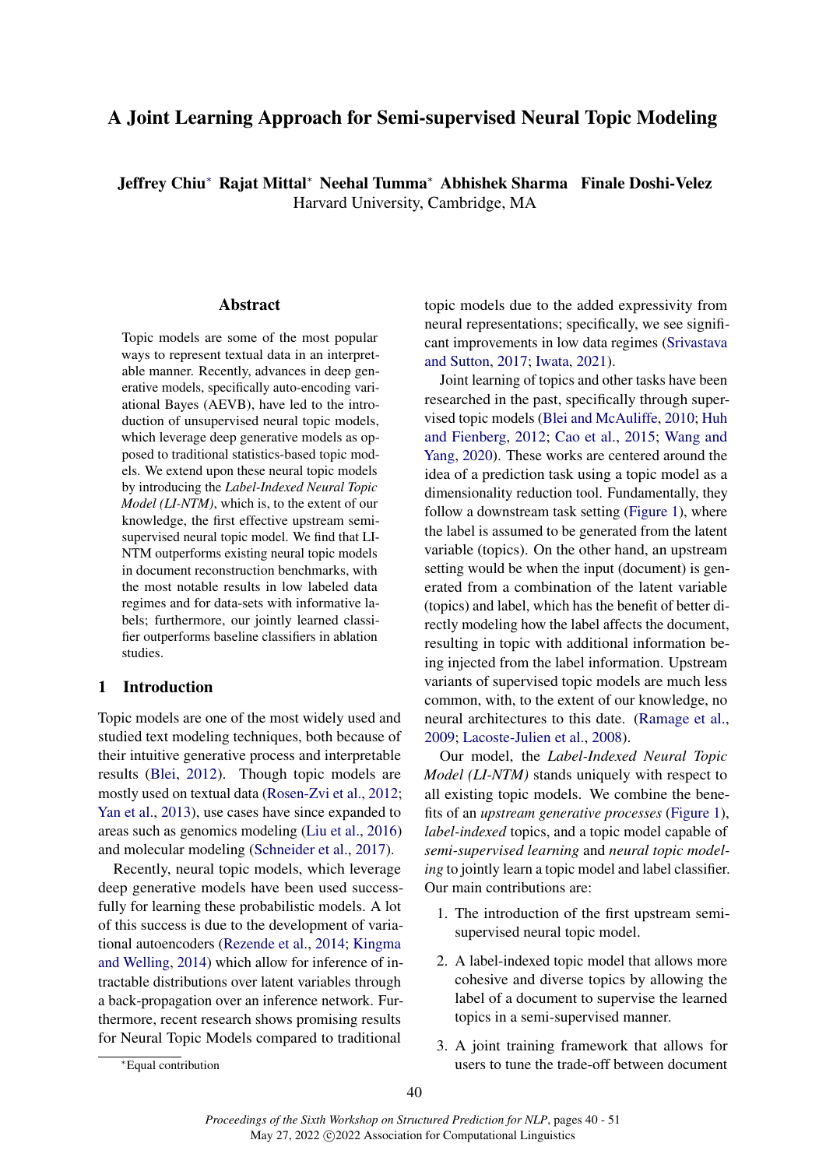# <span id="page-0-0"></span>A Joint Learning Approach for Semi-supervised Neural Topic Modeling

Jeffrey Chi[u](#page-0-0)<sup>∗</sup> Rajat Mittal<sup>∗</sup> Neehal Tumma<sup>∗</sup> Abhishek Sharma Finale Doshi-Velez Harvard University, Cambridge, MA

#### Abstract

Topic models are some of the most popular ways to represent textual data in an interpretable manner. Recently, advances in deep generative models, specifically auto-encoding variational Bayes (AEVB), have led to the introduction of unsupervised neural topic models, which leverage deep generative models as opposed to traditional statistics-based topic models. We extend upon these neural topic models by introducing the *Label-Indexed Neural Topic Model (LI-NTM)*, which is, to the extent of our knowledge, the first effective upstream semisupervised neural topic model. We find that LI-NTM outperforms existing neural topic models in document reconstruction benchmarks, with the most notable results in low labeled data regimes and for data-sets with informative labels; furthermore, our jointly learned classifier outperforms baseline classifiers in ablation studies.

## 1 Introduction

Topic models are one of the most widely used and studied text modeling techniques, both because of their intuitive generative process and interpretable results [\(Blei,](#page-8-0) [2012\)](#page-8-0). Though topic models are mostly used on textual data [\(Rosen-Zvi et al.,](#page-9-0) [2012;](#page-9-0) [Yan et al.,](#page-9-1) [2013\)](#page-9-1), use cases have since expanded to areas such as genomics modeling [\(Liu et al.,](#page-9-2) [2016\)](#page-9-2) and molecular modeling [\(Schneider et al.,](#page-9-3) [2017\)](#page-9-3).

Recently, neural topic models, which leverage deep generative models have been used successfully for learning these probabilistic models. A lot of this success is due to the development of variational autoencoders [\(Rezende et al.,](#page-9-4) [2014;](#page-9-4) [Kingma](#page-9-5) [and Welling,](#page-9-5) [2014\)](#page-9-5) which allow for inference of intractable distributions over latent variables through a back-propagation over an inference network. Furthermore, recent research shows promising results for Neural Topic Models compared to traditional

topic models due to the added expressivity from neural representations; specifically, we see significant improvements in low data regimes [\(Srivastava](#page-9-6) [and Sutton,](#page-9-6) [2017;](#page-9-6) [Iwata,](#page-9-7) [2021\)](#page-9-7).

Joint learning of topics and other tasks have been researched in the past, specifically through supervised topic models [\(Blei and McAuliffe,](#page-8-1) [2010;](#page-8-1) [Huh](#page-8-2) [and Fienberg,](#page-8-2) [2012;](#page-8-2) [Cao et al.,](#page-8-3) [2015;](#page-8-3) [Wang and](#page-9-8) [Yang,](#page-9-8) [2020\)](#page-9-8). These works are centered around the idea of a prediction task using a topic model as a dimensionality reduction tool. Fundamentally, they follow a downstream task setting [\(Figure 1\)](#page-1-0), where the label is assumed to be generated from the latent variable (topics). On the other hand, an upstream setting would be when the input (document) is generated from a combination of the latent variable (topics) and label, which has the benefit of better directly modeling how the label affects the document, resulting in topic with additional information being injected from the label information. Upstream variants of supervised topic models are much less common, with, to the extent of our knowledge, no neural architectures to this date. [\(Ramage et al.,](#page-9-9) [2009;](#page-9-9) [Lacoste-Julien et al.,](#page-9-10) [2008\)](#page-9-10).

Our model, the *Label-Indexed Neural Topic Model (LI-NTM)* stands uniquely with respect to all existing topic models. We combine the benefits of an *upstream generative processes* [\(Figure 1\)](#page-1-0), *label-indexed* topics, and a topic model capable of *semi-supervised learning* and *neural topic modeling* to jointly learn a topic model and label classifier. Our main contributions are:

- 1. The introduction of the first upstream semisupervised neural topic model.
- 2. A label-indexed topic model that allows more cohesive and diverse topics by allowing the label of a document to supervise the learned topics in a semi-supervised manner.
- 3. A joint training framework that allows for users to tune the trade-off between document

<sup>∗</sup>Equal contribution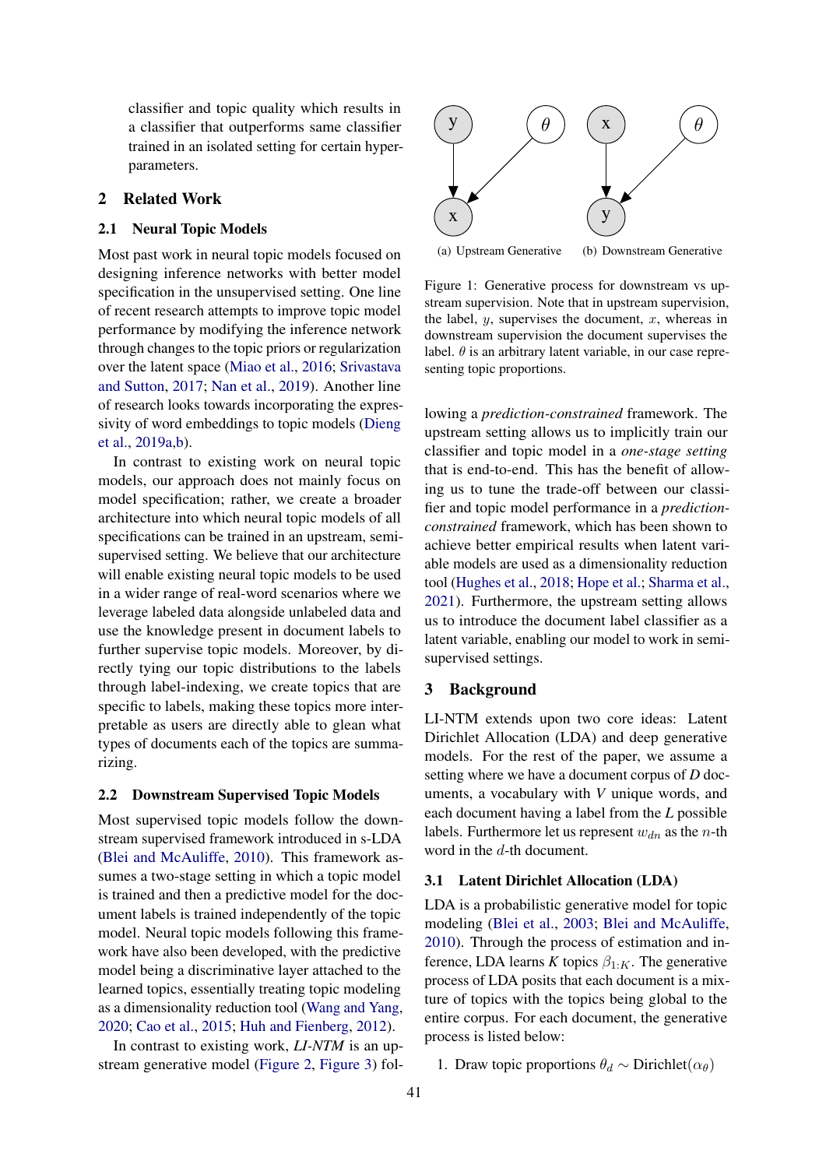classifier and topic quality which results in a classifier that outperforms same classifier trained in an isolated setting for certain hyperparameters.

### 2 Related Work

#### 2.1 Neural Topic Models

Most past work in neural topic models focused on designing inference networks with better model specification in the unsupervised setting. One line of recent research attempts to improve topic model performance by modifying the inference network through changes to the topic priors or regularization over the latent space [\(Miao et al.,](#page-9-11) [2016;](#page-9-11) [Srivastava](#page-9-6) [and Sutton,](#page-9-6) [2017;](#page-9-6) [Nan et al.,](#page-9-12) [2019\)](#page-9-12). Another line of research looks towards incorporating the expressivity of word embeddings to topic models [\(Dieng](#page-8-4) [et al.,](#page-8-4) [2019a](#page-8-4)[,b\)](#page-8-5).

In contrast to existing work on neural topic models, our approach does not mainly focus on model specification; rather, we create a broader architecture into which neural topic models of all specifications can be trained in an upstream, semisupervised setting. We believe that our architecture will enable existing neural topic models to be used in a wider range of real-word scenarios where we leverage labeled data alongside unlabeled data and use the knowledge present in document labels to further supervise topic models. Moreover, by directly tying our topic distributions to the labels through label-indexing, we create topics that are specific to labels, making these topics more interpretable as users are directly able to glean what types of documents each of the topics are summarizing.

#### 2.2 Downstream Supervised Topic Models

Most supervised topic models follow the downstream supervised framework introduced in s-LDA [\(Blei and McAuliffe,](#page-8-1) [2010\)](#page-8-1). This framework assumes a two-stage setting in which a topic model is trained and then a predictive model for the document labels is trained independently of the topic model. Neural topic models following this framework have also been developed, with the predictive model being a discriminative layer attached to the learned topics, essentially treating topic modeling as a dimensionality reduction tool [\(Wang and Yang,](#page-9-8) [2020;](#page-9-8) [Cao et al.,](#page-8-3) [2015;](#page-8-3) [Huh and Fienberg,](#page-8-2) [2012\)](#page-8-2).

In contrast to existing work, *LI-NTM* is an upstream generative model [\(Figure 2,](#page-2-0) [Figure 3\)](#page-2-1) fol-

<span id="page-1-0"></span>

Figure 1: Generative process for downstream vs upstream supervision. Note that in upstream supervision, the label,  $y$ , supervises the document,  $x$ , whereas in downstream supervision the document supervises the label.  $\theta$  is an arbitrary latent variable, in our case representing topic proportions.

lowing a *prediction-constrained* framework. The upstream setting allows us to implicitly train our classifier and topic model in a *one-stage setting* that is end-to-end. This has the benefit of allowing us to tune the trade-off between our classifier and topic model performance in a *predictionconstrained* framework, which has been shown to achieve better empirical results when latent variable models are used as a dimensionality reduction tool [\(Hughes et al.,](#page-8-6) [2018;](#page-8-6) [Hope et al.;](#page-8-7) [Sharma et al.,](#page-9-13) [2021\)](#page-9-13). Furthermore, the upstream setting allows us to introduce the document label classifier as a latent variable, enabling our model to work in semisupervised settings.

## 3 Background

LI-NTM extends upon two core ideas: Latent Dirichlet Allocation (LDA) and deep generative models. For the rest of the paper, we assume a setting where we have a document corpus of *D* documents, a vocabulary with *V* unique words, and each document having a label from the *L* possible labels. Furthermore let us represent  $w_{dn}$  as the *n*-th word in the d-th document.

## 3.1 Latent Dirichlet Allocation (LDA)

LDA is a probabilistic generative model for topic modeling [\(Blei et al.,](#page-8-8) [2003;](#page-8-8) [Blei and McAuliffe,](#page-8-1) [2010\)](#page-8-1). Through the process of estimation and inference, LDA learns *K* topics  $\beta_{1:K}$ . The generative process of LDA posits that each document is a mixture of topics with the topics being global to the entire corpus. For each document, the generative process is listed below:

1. Draw topic proportions  $\theta_d \sim$  Dirichlet( $\alpha_{\theta}$ )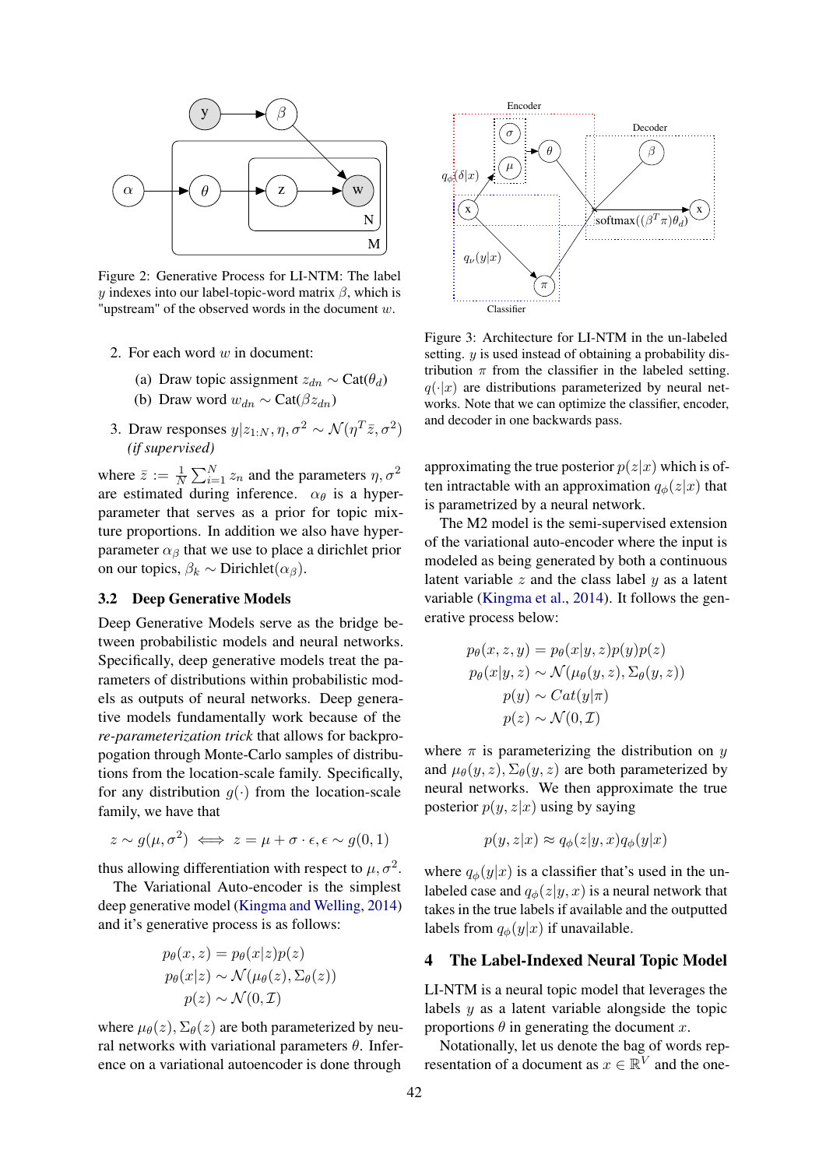<span id="page-2-0"></span>

Figure 2: Generative Process for LI-NTM: The label y indexes into our label-topic-word matrix  $\beta$ , which is "upstream" of the observed words in the document  $w$ .

- 2. For each word  $w$  in document:
	- (a) Draw topic assignment  $z_{dn} \sim \text{Cat}(\theta_d)$
	- (b) Draw word  $w_{dn} \sim \text{Cat}(\beta z_{dn})$
- 3. Draw responses  $y|z_{1:N}, \eta, \sigma^2 \sim \mathcal{N}(\eta^T \bar{z}, \sigma^2)$ *(if supervised)*

where  $\bar{z} := \frac{1}{N} \sum_{i=1}^{N} z_n$  and the parameters  $\eta, \sigma^2$ are estimated during inference.  $\alpha_{\theta}$  is a hyperparameter that serves as a prior for topic mixture proportions. In addition we also have hyperparameter  $\alpha_{\beta}$  that we use to place a dirichlet prior on our topics,  $\beta_k \sim$  Dirichlet $(\alpha_\beta)$ .

#### 3.2 Deep Generative Models

Deep Generative Models serve as the bridge between probabilistic models and neural networks. Specifically, deep generative models treat the parameters of distributions within probabilistic models as outputs of neural networks. Deep generative models fundamentally work because of the *re-parameterization trick* that allows for backpropogation through Monte-Carlo samples of distributions from the location-scale family. Specifically, for any distribution  $g(\cdot)$  from the location-scale family, we have that

$$
z \sim g(\mu, \sigma^2) \iff z = \mu + \sigma \cdot \epsilon, \epsilon \sim g(0, 1)
$$

thus allowing differentiation with respect to  $\mu, \sigma^2$ .

The Variational Auto-encoder is the simplest deep generative model [\(Kingma and Welling,](#page-9-5) [2014\)](#page-9-5) and it's generative process is as follows:

$$
p_{\theta}(x, z) = p_{\theta}(x|z)p(z)
$$
  
\n
$$
p_{\theta}(x|z) \sim \mathcal{N}(\mu_{\theta}(z), \Sigma_{\theta}(z))
$$
  
\n
$$
p(z) \sim \mathcal{N}(0, \mathcal{I})
$$

where  $\mu_{\theta}(z)$ ,  $\Sigma_{\theta}(z)$  are both parameterized by neural networks with variational parameters  $\theta$ . Inference on a variational autoencoder is done through

<span id="page-2-1"></span>

Figure 3: Architecture for LI-NTM in the un-labeled setting. y is used instead of obtaining a probability distribution  $\pi$  from the classifier in the labeled setting.  $q(\cdot|x)$  are distributions parameterized by neural networks. Note that we can optimize the classifier, encoder, and decoder in one backwards pass.

approximating the true posterior  $p(z|x)$  which is often intractable with an approximation  $q_{\phi}(z|x)$  that is parametrized by a neural network.

The M2 model is the semi-supervised extension of the variational auto-encoder where the input is modeled as being generated by both a continuous latent variable  $z$  and the class label  $y$  as a latent variable [\(Kingma et al.,](#page-9-14) [2014\)](#page-9-14). It follows the generative process below:

$$
p_{\theta}(x, z, y) = p_{\theta}(x|y, z)p(y)p(z)
$$
  
\n
$$
p_{\theta}(x|y, z) \sim \mathcal{N}(\mu_{\theta}(y, z), \Sigma_{\theta}(y, z))
$$
  
\n
$$
p(y) \sim Cat(y|\pi)
$$
  
\n
$$
p(z) \sim \mathcal{N}(0, \mathcal{I})
$$

where  $\pi$  is parameterizing the distribution on y and  $\mu_{\theta}(y, z), \Sigma_{\theta}(y, z)$  are both parameterized by neural networks. We then approximate the true posterior  $p(y, z|x)$  using by saying

$$
p(y, z|x) \approx q_{\phi}(z|y, x)q_{\phi}(y|x)
$$

where  $q_{\phi}(y|x)$  is a classifier that's used in the unlabeled case and  $q_{\phi}(z|y, x)$  is a neural network that takes in the true labels if available and the outputted labels from  $q_{\phi}(y|x)$  if unavailable.

#### 4 The Label-Indexed Neural Topic Model

LI-NTM is a neural topic model that leverages the labels  $y$  as a latent variable alongside the topic proportions  $\theta$  in generating the document x.

Notationally, let us denote the bag of words representation of a document as  $x \in \mathbb{R}^V$  and the one-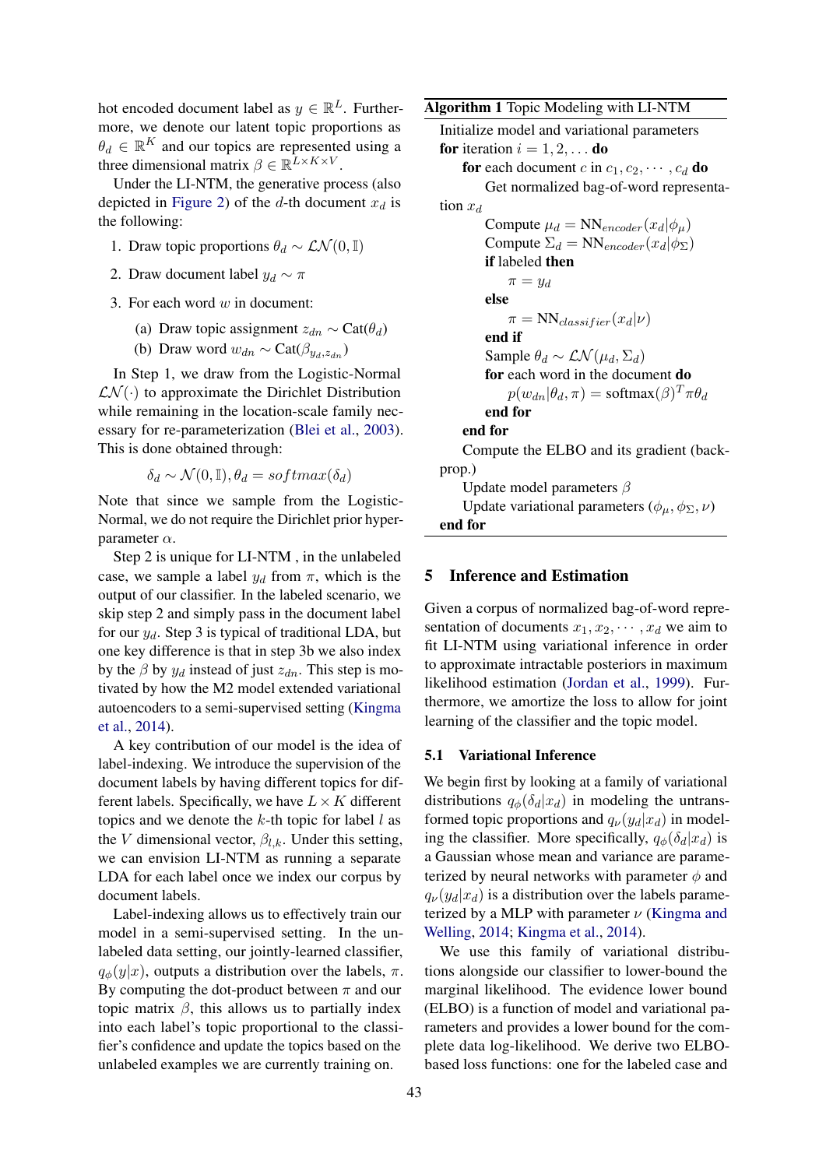hot encoded document label as  $y \in \mathbb{R}^L$ . Furthermore, we denote our latent topic proportions as  $\theta_d \in \mathbb{R}^K$  and our topics are represented using a three dimensional matrix  $\beta \in \mathbb{R}^{L \times K \times V}$ .

Under the LI-NTM, the generative process (also depicted in [Figure 2\)](#page-2-0) of the d-th document  $x_d$  is the following:

- 1. Draw topic proportions  $\theta_d \sim \mathcal{LN}(0, \mathbb{I})$
- 2. Draw document label  $y_d \sim \pi$
- 3. For each word  $w$  in document:
	- (a) Draw topic assignment  $z_{dn} \sim \text{Cat}(\theta_d)$
	- (b) Draw word  $w_{dn} \sim \text{Cat}(\beta_{u_d,z_{dn}})$

In Step 1, we draw from the Logistic-Normal  $LN(\cdot)$  to approximate the Dirichlet Distribution while remaining in the location-scale family necessary for re-parameterization [\(Blei et al.,](#page-8-8) [2003\)](#page-8-8). This is done obtained through:

$$
\delta_d \sim \mathcal{N}(0, \mathbb{I}), \theta_d = softmax(\delta_d)
$$

Note that since we sample from the Logistic-Normal, we do not require the Dirichlet prior hyperparameter  $\alpha$ .

Step 2 is unique for LI-NTM , in the unlabeled case, we sample a label  $y_d$  from  $\pi$ , which is the output of our classifier. In the labeled scenario, we skip step 2 and simply pass in the document label for our  $y_d$ . Step 3 is typical of traditional LDA, but one key difference is that in step 3b we also index by the  $\beta$  by  $y_d$  instead of just  $z_{dn}$ . This step is motivated by how the M2 model extended variational autoencoders to a semi-supervised setting [\(Kingma](#page-9-14) [et al.,](#page-9-14) [2014\)](#page-9-14).

A key contribution of our model is the idea of label-indexing. We introduce the supervision of the document labels by having different topics for different labels. Specifically, we have  $L \times K$  different topics and we denote the  $k$ -th topic for label  $l$  as the V dimensional vector,  $\beta_{l,k}$ . Under this setting, we can envision LI-NTM as running a separate LDA for each label once we index our corpus by document labels.

Label-indexing allows us to effectively train our model in a semi-supervised setting. In the unlabeled data setting, our jointly-learned classifier,  $q_{\phi}(y|x)$ , outputs a distribution over the labels,  $\pi$ . By computing the dot-product between  $\pi$  and our topic matrix  $\beta$ , this allows us to partially index into each label's topic proportional to the classifier's confidence and update the topics based on the unlabeled examples we are currently training on.

<span id="page-3-0"></span>Algorithm 1 Topic Modeling with LI-NTM

| Initialize model and variational parameters                      |
|------------------------------------------------------------------|
| <b>for</b> iteration $i = 1, 2, \ldots$ <b>do</b>                |
| <b>for</b> each document c in $c_1, c_2, \cdots, c_d$ <b>do</b>  |
| Get normalized bag-of-word representa-                           |
| tion $x_d$                                                       |
| Compute $\mu_d = NN_{encoder}(x_d \phi_\mu)$                     |
| Compute $\Sigma_d = NN_{encoder}(x_d   \phi_{\Sigma})$           |
| <b>if</b> labeled <b>then</b>                                    |
| $\pi = y_d$                                                      |
| else                                                             |
| $\pi = NN_{classifier}(x_d \nu)$                                 |
| end if                                                           |
| Sample $\theta_d \sim \mathcal{L} \mathcal{N}(\mu_d, \Sigma_d)$  |
| for each word in the document do                                 |
| $p(w_{dn} \theta_d, \pi) = \text{softmax}(\beta)^T \pi \theta_d$ |
| end for                                                          |
| end for                                                          |
| Compute the ELBO and its gradient (back-                         |
| prop.)                                                           |
| Update model parameters $\beta$                                  |
| Update variational parameters $(\phi_{\mu}, \phi_{\Sigma}, \nu)$ |
| end for                                                          |

## 5 Inference and Estimation

Given a corpus of normalized bag-of-word representation of documents  $x_1, x_2, \dots, x_d$  we aim to fit LI-NTM using variational inference in order to approximate intractable posteriors in maximum likelihood estimation [\(Jordan et al.,](#page-9-15) [1999\)](#page-9-15). Furthermore, we amortize the loss to allow for joint learning of the classifier and the topic model.

### 5.1 Variational Inference

We begin first by looking at a family of variational distributions  $q_{\phi}(\delta_d|x_d)$  in modeling the untransformed topic proportions and  $q_{\nu}(y_d|x_d)$  in modeling the classifier. More specifically,  $q_{\phi}(\delta_d|x_d)$  is a Gaussian whose mean and variance are parameterized by neural networks with parameter  $\phi$  and  $q_{\nu}(y_d|x_d)$  is a distribution over the labels parameterized by a MLP with parameter  $\nu$  [\(Kingma and](#page-9-5) [Welling,](#page-9-5) [2014;](#page-9-5) [Kingma et al.,](#page-9-14) [2014\)](#page-9-14).

We use this family of variational distributions alongside our classifier to lower-bound the marginal likelihood. The evidence lower bound (ELBO) is a function of model and variational parameters and provides a lower bound for the complete data log-likelihood. We derive two ELBObased loss functions: one for the labeled case and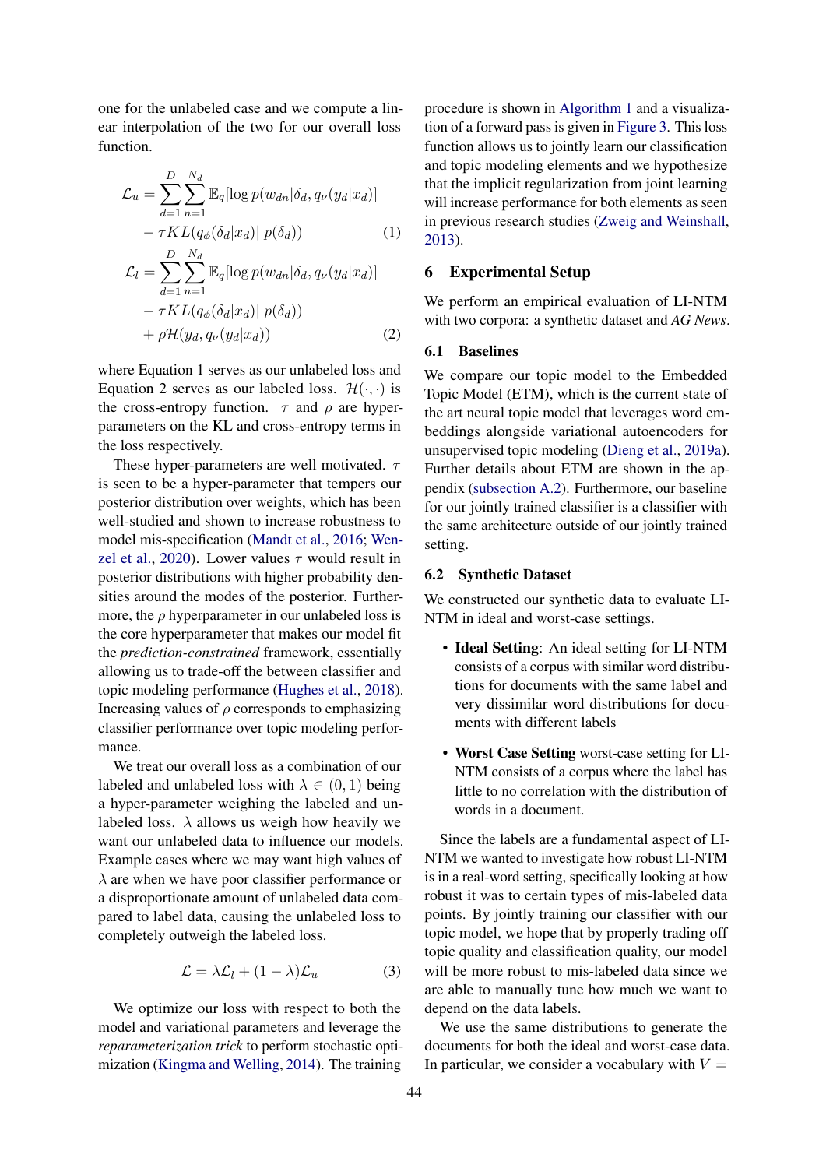one for the unlabeled case and we compute a linear interpolation of the two for our overall loss function.

$$
\mathcal{L}_{u} = \sum_{d=1}^{D} \sum_{n=1}^{N_d} \mathbb{E}_{q} [\log p(w_{dn} | \delta_d, q_{\nu}(y_d | x_d)] \n- \tau KL(q_{\phi}(\delta_d | x_d) || p(\delta_d)) \qquad (1) \n\mathcal{L}_{l} = \sum_{d=1}^{D} \sum_{n=1}^{N_d} \mathbb{E}_{q} [\log p(w_{dn} | \delta_d, q_{\nu}(y_d | x_d)] \n- \tau KL(q_{\phi}(\delta_d | x_d) || p(\delta_d)) \n+ \rho H(y_d, q_{\nu}(y_d | x_d)) \qquad (2)
$$

where Equation 1 serves as our unlabeled loss and Equation 2 serves as our labeled loss.  $\mathcal{H}(\cdot, \cdot)$  is the cross-entropy function.  $\tau$  and  $\rho$  are hyperparameters on the KL and cross-entropy terms in the loss respectively.

These hyper-parameters are well motivated.  $\tau$ is seen to be a hyper-parameter that tempers our posterior distribution over weights, which has been well-studied and shown to increase robustness to model mis-specification [\(Mandt et al.,](#page-9-16) [2016;](#page-9-16) [Wen](#page-9-17)[zel et al.,](#page-9-17) [2020\)](#page-9-17). Lower values  $\tau$  would result in posterior distributions with higher probability densities around the modes of the posterior. Furthermore, the  $\rho$  hyperparameter in our unlabeled loss is the core hyperparameter that makes our model fit the *prediction-constrained* framework, essentially allowing us to trade-off the between classifier and topic modeling performance [\(Hughes et al.,](#page-8-6) [2018\)](#page-8-6). Increasing values of  $\rho$  corresponds to emphasizing classifier performance over topic modeling performance.

We treat our overall loss as a combination of our labeled and unlabeled loss with  $\lambda \in (0, 1)$  being a hyper-parameter weighing the labeled and unlabeled loss.  $\lambda$  allows us weigh how heavily we want our unlabeled data to influence our models. Example cases where we may want high values of  $\lambda$  are when we have poor classifier performance or a disproportionate amount of unlabeled data compared to label data, causing the unlabeled loss to completely outweigh the labeled loss.

$$
\mathcal{L} = \lambda \mathcal{L}_l + (1 - \lambda) \mathcal{L}_u \tag{3}
$$

We optimize our loss with respect to both the model and variational parameters and leverage the *reparameterization trick* to perform stochastic optimization [\(Kingma and Welling,](#page-9-5) [2014\)](#page-9-5). The training

procedure is shown in [Algorithm 1](#page-3-0) and a visualization of a forward pass is given in [Figure 3.](#page-2-1) This loss function allows us to jointly learn our classification and topic modeling elements and we hypothesize that the implicit regularization from joint learning will increase performance for both elements as seen in previous research studies [\(Zweig and Weinshall,](#page-9-18) [2013\)](#page-9-18).

## 6 Experimental Setup

We perform an empirical evaluation of LI-NTM with two corpora: a synthetic dataset and *AG News*.

## 6.1 Baselines

We compare our topic model to the Embedded Topic Model (ETM), which is the current state of the art neural topic model that leverages word embeddings alongside variational autoencoders for unsupervised topic modeling [\(Dieng et al.,](#page-8-4) [2019a\)](#page-8-4). Further details about ETM are shown in the appendix [\(subsection A.2\)](#page-10-0). Furthermore, our baseline for our jointly trained classifier is a classifier with the same architecture outside of our jointly trained setting.

#### 6.2 Synthetic Dataset

We constructed our synthetic data to evaluate LI-NTM in ideal and worst-case settings.

- Ideal Setting: An ideal setting for LI-NTM consists of a corpus with similar word distributions for documents with the same label and very dissimilar word distributions for documents with different labels
- Worst Case Setting worst-case setting for LI-NTM consists of a corpus where the label has little to no correlation with the distribution of words in a document.

Since the labels are a fundamental aspect of LI-NTM we wanted to investigate how robust LI-NTM is in a real-word setting, specifically looking at how robust it was to certain types of mis-labeled data points. By jointly training our classifier with our topic model, we hope that by properly trading off topic quality and classification quality, our model will be more robust to mis-labeled data since we are able to manually tune how much we want to depend on the data labels.

We use the same distributions to generate the documents for both the ideal and worst-case data. In particular, we consider a vocabulary with  $V =$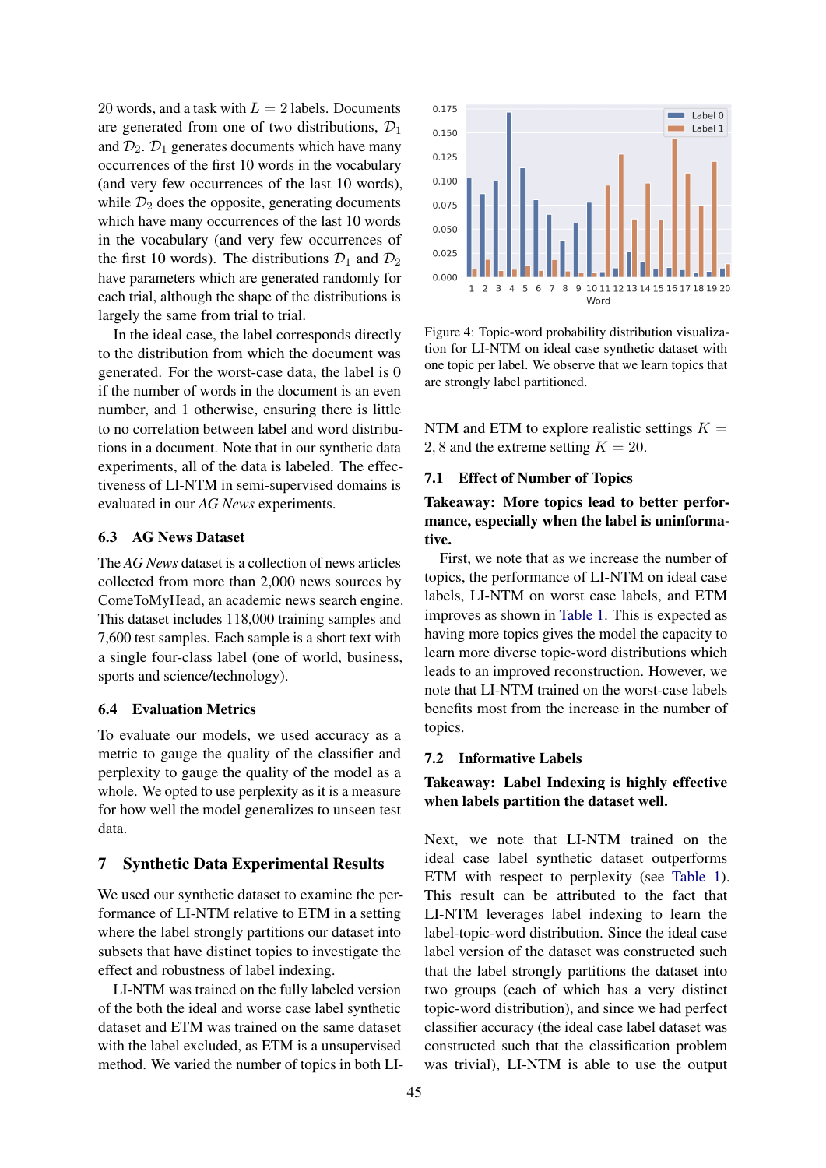20 words, and a task with  $L = 2$  labels. Documents are generated from one of two distributions,  $\mathcal{D}_1$ and  $\mathcal{D}_2$ .  $\mathcal{D}_1$  generates documents which have many occurrences of the first 10 words in the vocabulary (and very few occurrences of the last 10 words), while  $\mathcal{D}_2$  does the opposite, generating documents which have many occurrences of the last 10 words in the vocabulary (and very few occurrences of the first 10 words). The distributions  $\mathcal{D}_1$  and  $\mathcal{D}_2$ have parameters which are generated randomly for each trial, although the shape of the distributions is largely the same from trial to trial.

In the ideal case, the label corresponds directly to the distribution from which the document was generated. For the worst-case data, the label is 0 if the number of words in the document is an even number, and 1 otherwise, ensuring there is little to no correlation between label and word distributions in a document. Note that in our synthetic data experiments, all of the data is labeled. The effectiveness of LI-NTM in semi-supervised domains is evaluated in our *AG News* experiments.

## 6.3 AG News Dataset

The *AG News* dataset is a collection of news articles collected from more than 2,000 news sources by ComeToMyHead, an academic news search engine. This dataset includes 118,000 training samples and 7,600 test samples. Each sample is a short text with a single four-class label (one of world, business, sports and science/technology).

## 6.4 Evaluation Metrics

To evaluate our models, we used accuracy as a metric to gauge the quality of the classifier and perplexity to gauge the quality of the model as a whole. We opted to use perplexity as it is a measure for how well the model generalizes to unseen test data.

#### 7 Synthetic Data Experimental Results

We used our synthetic dataset to examine the performance of LI-NTM relative to ETM in a setting where the label strongly partitions our dataset into subsets that have distinct topics to investigate the effect and robustness of label indexing.

LI-NTM was trained on the fully labeled version of the both the ideal and worse case label synthetic dataset and ETM was trained on the same dataset with the label excluded, as ETM is a unsupervised method. We varied the number of topics in both LI-

<span id="page-5-0"></span>

Figure 4: Topic-word probability distribution visualization for LI-NTM on ideal case synthetic dataset with one topic per label. We observe that we learn topics that are strongly label partitioned.

NTM and ETM to explore realistic settings  $K =$ 2, 8 and the extreme setting  $K = 20$ .

#### 7.1 Effect of Number of Topics

Takeaway: More topics lead to better performance, especially when the label is uninformative.

First, we note that as we increase the number of topics, the performance of LI-NTM on ideal case labels, LI-NTM on worst case labels, and ETM improves as shown in [Table 1.](#page-6-0) This is expected as having more topics gives the model the capacity to learn more diverse topic-word distributions which leads to an improved reconstruction. However, we note that LI-NTM trained on the worst-case labels benefits most from the increase in the number of topics.

#### 7.2 Informative Labels

## Takeaway: Label Indexing is highly effective when labels partition the dataset well.

Next, we note that LI-NTM trained on the ideal case label synthetic dataset outperforms ETM with respect to perplexity (see [Table 1\)](#page-6-0). This result can be attributed to the fact that LI-NTM leverages label indexing to learn the label-topic-word distribution. Since the ideal case label version of the dataset was constructed such that the label strongly partitions the dataset into two groups (each of which has a very distinct topic-word distribution), and since we had perfect classifier accuracy (the ideal case label dataset was constructed such that the classification problem was trivial), LI-NTM is able to use the output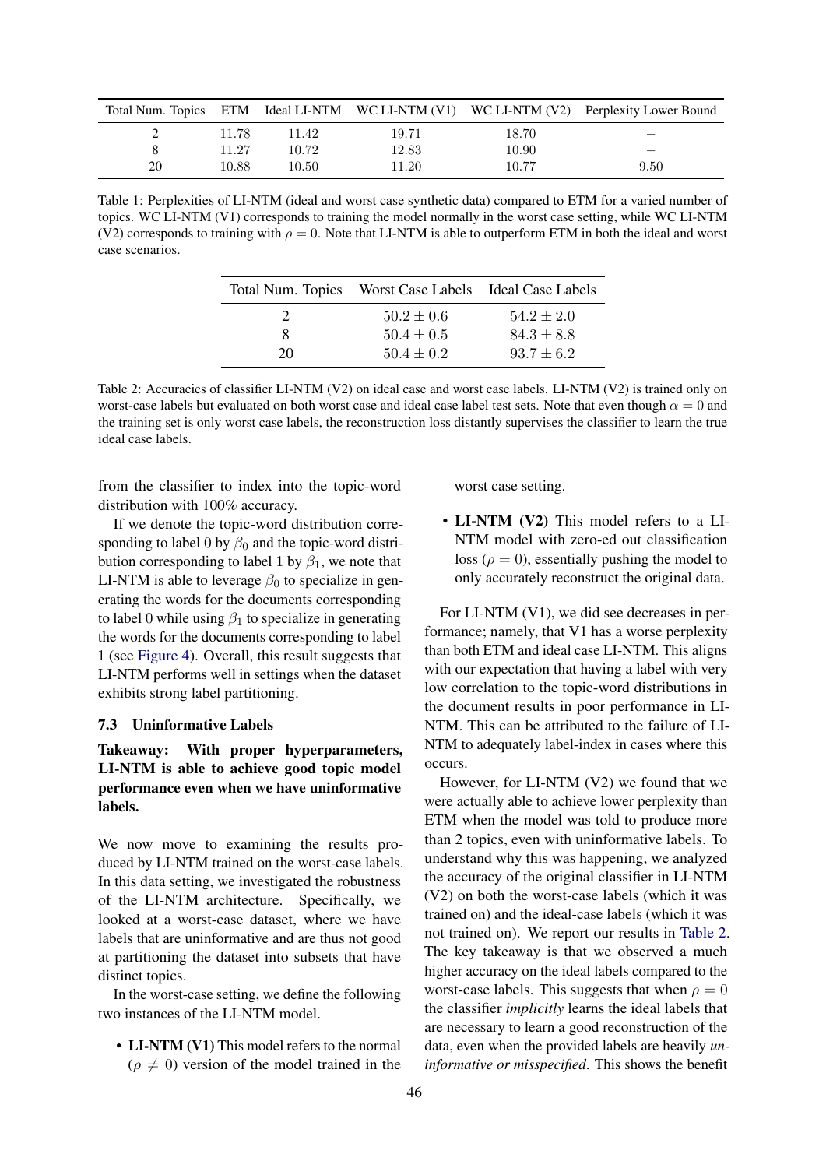<span id="page-6-0"></span>

|             |       |       |       |       | Total Num. Topics ETM Ideal LI-NTM WC LI-NTM (V1) WC LI-NTM (V2) Perplexity Lower Bound |
|-------------|-------|-------|-------|-------|-----------------------------------------------------------------------------------------|
| $2^{\circ}$ | 11.78 | 11.42 | 19.71 | 18.70 |                                                                                         |
| 8           | 11.27 | 10.72 | 12.83 | 10.90 |                                                                                         |
| 20          | 10.88 | 10.50 | 11.20 | 10.77 | 9.50                                                                                    |

<span id="page-6-1"></span>Table 1: Perplexities of LI-NTM (ideal and worst case synthetic data) compared to ETM for a varied number of topics. WC LI-NTM (V1) corresponds to training the model normally in the worst case setting, while WC LI-NTM (V2) corresponds to training with  $\rho = 0$ . Note that LI-NTM is able to outperform ETM in both the ideal and worst case scenarios.

|    | Total Num. Topics Worst Case Labels Ideal Case Labels |                |
|----|-------------------------------------------------------|----------------|
|    | $50.2 \pm 0.6$                                        | $54.2 \pm 2.0$ |
| 8. | $50.4 \pm 0.5$                                        | $84.3 \pm 8.8$ |
| 20 | $50.4 \pm 0.2$                                        | $93.7 \pm 6.2$ |

Table 2: Accuracies of classifier LI-NTM (V2) on ideal case and worst case labels. LI-NTM (V2) is trained only on worst-case labels but evaluated on both worst case and ideal case label test sets. Note that even though  $\alpha = 0$  and the training set is only worst case labels, the reconstruction loss distantly supervises the classifier to learn the true ideal case labels.

from the classifier to index into the topic-word distribution with 100% accuracy.

If we denote the topic-word distribution corresponding to label 0 by  $\beta_0$  and the topic-word distribution corresponding to label 1 by  $\beta_1$ , we note that LI-NTM is able to leverage  $\beta_0$  to specialize in generating the words for the documents corresponding to label 0 while using  $\beta_1$  to specialize in generating the words for the documents corresponding to label 1 (see [Figure 4\)](#page-5-0). Overall, this result suggests that LI-NTM performs well in settings when the dataset exhibits strong label partitioning.

#### 7.3 Uninformative Labels

Takeaway: With proper hyperparameters, LI-NTM is able to achieve good topic model performance even when we have uninformative labels.

We now move to examining the results produced by LI-NTM trained on the worst-case labels. In this data setting, we investigated the robustness of the LI-NTM architecture. Specifically, we looked at a worst-case dataset, where we have labels that are uninformative and are thus not good at partitioning the dataset into subsets that have distinct topics.

In the worst-case setting, we define the following two instances of the LI-NTM model.

• **LI-NTM (V1)** This model refers to the normal  $(\rho \neq 0)$  version of the model trained in the worst case setting.

• LI-NTM (V2) This model refers to a LI-NTM model with zero-ed out classification loss ( $\rho = 0$ ), essentially pushing the model to only accurately reconstruct the original data.

For LI-NTM (V1), we did see decreases in performance; namely, that V1 has a worse perplexity than both ETM and ideal case LI-NTM. This aligns with our expectation that having a label with very low correlation to the topic-word distributions in the document results in poor performance in LI-NTM. This can be attributed to the failure of LI-NTM to adequately label-index in cases where this occurs.

However, for LI-NTM (V2) we found that we were actually able to achieve lower perplexity than ETM when the model was told to produce more than 2 topics, even with uninformative labels. To understand why this was happening, we analyzed the accuracy of the original classifier in LI-NTM (V2) on both the worst-case labels (which it was trained on) and the ideal-case labels (which it was not trained on). We report our results in [Table 2.](#page-6-1) The key takeaway is that we observed a much higher accuracy on the ideal labels compared to the worst-case labels. This suggests that when  $\rho = 0$ the classifier *implicitly* learns the ideal labels that are necessary to learn a good reconstruction of the data, even when the provided labels are heavily *uninformative or misspecified*. This shows the benefit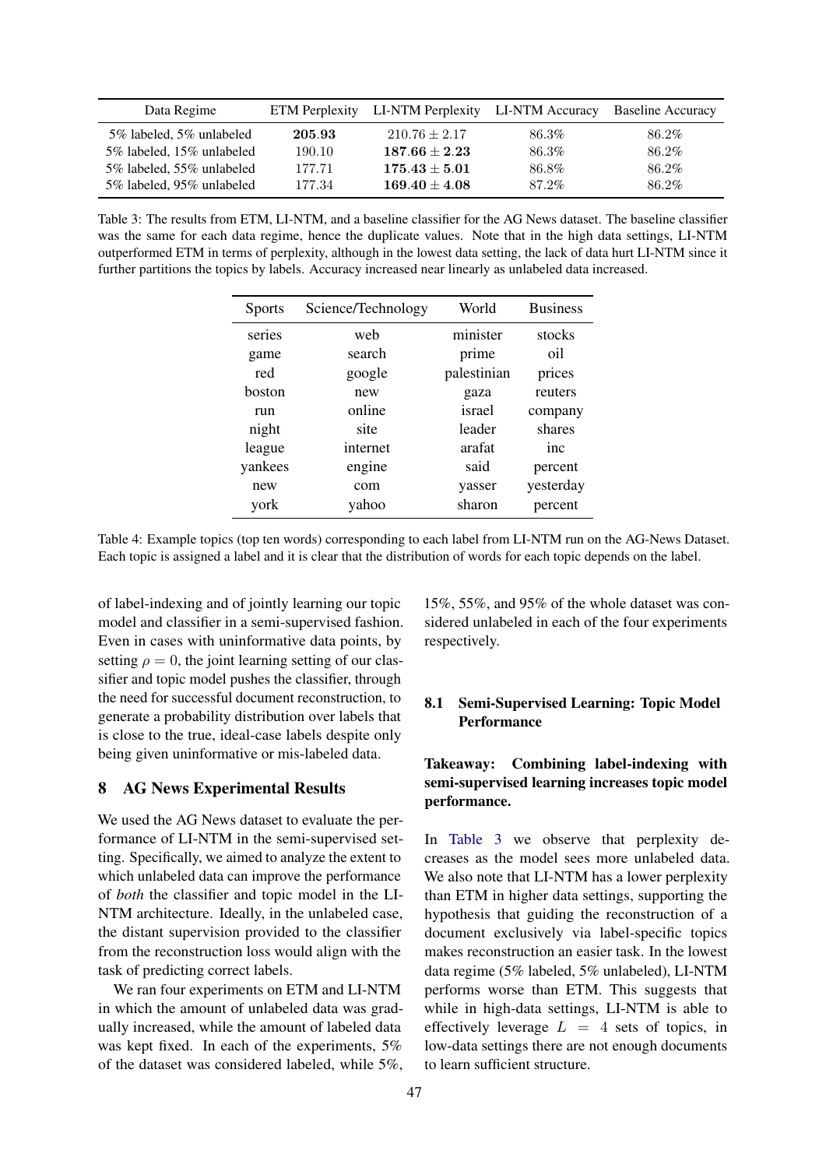<span id="page-7-0"></span>

| Data Regime               |        | ETM Perplexity LI-NTM Perplexity LI-NTM Accuracy |       | <b>Baseline Accuracy</b> |
|---------------------------|--------|--------------------------------------------------|-------|--------------------------|
| 5% labeled, 5% unlabeled  | 205.93 | $210.76 \pm 2.17$                                | 86.3% | 86.2%                    |
| 5% labeled, 15% unlabeled | 190.10 | $187.66 \pm 2.23$                                | 86.3% | 86.2%                    |
| 5% labeled, 55% unlabeled | 177.71 | $175.43 \pm 5.01$                                | 86.8% | 86.2%                    |
| 5% labeled, 95% unlabeled | 177.34 | $169.40 \pm 4.08$                                | 87.2% | 86.2%                    |

<span id="page-7-1"></span>Table 3: The results from ETM, LI-NTM, and a baseline classifier for the AG News dataset. The baseline classifier was the same for each data regime, hence the duplicate values. Note that in the high data settings, LI-NTM outperformed ETM in terms of perplexity, although in the lowest data setting, the lack of data hurt LI-NTM since it further partitions the topics by labels. Accuracy increased near linearly as unlabeled data increased.

| <b>Sports</b> | Science/Technology | World       | <b>Business</b> |
|---------------|--------------------|-------------|-----------------|
| series        | web                | minister    | stocks          |
| game          | search             | prime       | oil             |
| red           | google             | palestinian | prices          |
| boston        | new                | gaza        | reuters         |
| run           | online             | israel      | company         |
| night         | site               | leader      | shares          |
| league        | internet           | arafat      | inc             |
| yankees       | engine             | said        | percent         |
| new           | com                | yasser      | yesterday       |
| york          | yahoo              | sharon      | percent         |

Table 4: Example topics (top ten words) corresponding to each label from LI-NTM run on the AG-News Dataset. Each topic is assigned a label and it is clear that the distribution of words for each topic depends on the label.

of label-indexing and of jointly learning our topic model and classifier in a semi-supervised fashion. Even in cases with uninformative data points, by setting  $\rho = 0$ , the joint learning setting of our classifier and topic model pushes the classifier, through the need for successful document reconstruction, to generate a probability distribution over labels that is close to the true, ideal-case labels despite only being given uninformative or mis-labeled data.

## 8 AG News Experimental Results

We used the AG News dataset to evaluate the performance of LI-NTM in the semi-supervised setting. Specifically, we aimed to analyze the extent to which unlabeled data can improve the performance of *both* the classifier and topic model in the LI-NTM architecture. Ideally, in the unlabeled case, the distant supervision provided to the classifier from the reconstruction loss would align with the task of predicting correct labels.

We ran four experiments on ETM and LI-NTM in which the amount of unlabeled data was gradually increased, while the amount of labeled data was kept fixed. In each of the experiments, 5% of the dataset was considered labeled, while 5%, 15%, 55%, and 95% of the whole dataset was considered unlabeled in each of the four experiments respectively.

## 8.1 Semi-Supervised Learning: Topic Model Performance

## Takeaway: Combining label-indexing with semi-supervised learning increases topic model performance.

In [Table 3](#page-7-0) we observe that perplexity decreases as the model sees more unlabeled data. We also note that LI-NTM has a lower perplexity than ETM in higher data settings, supporting the hypothesis that guiding the reconstruction of a document exclusively via label-specific topics makes reconstruction an easier task. In the lowest data regime (5% labeled, 5% unlabeled), LI-NTM performs worse than ETM. This suggests that while in high-data settings, LI-NTM is able to effectively leverage  $L = 4$  sets of topics, in low-data settings there are not enough documents to learn sufficient structure.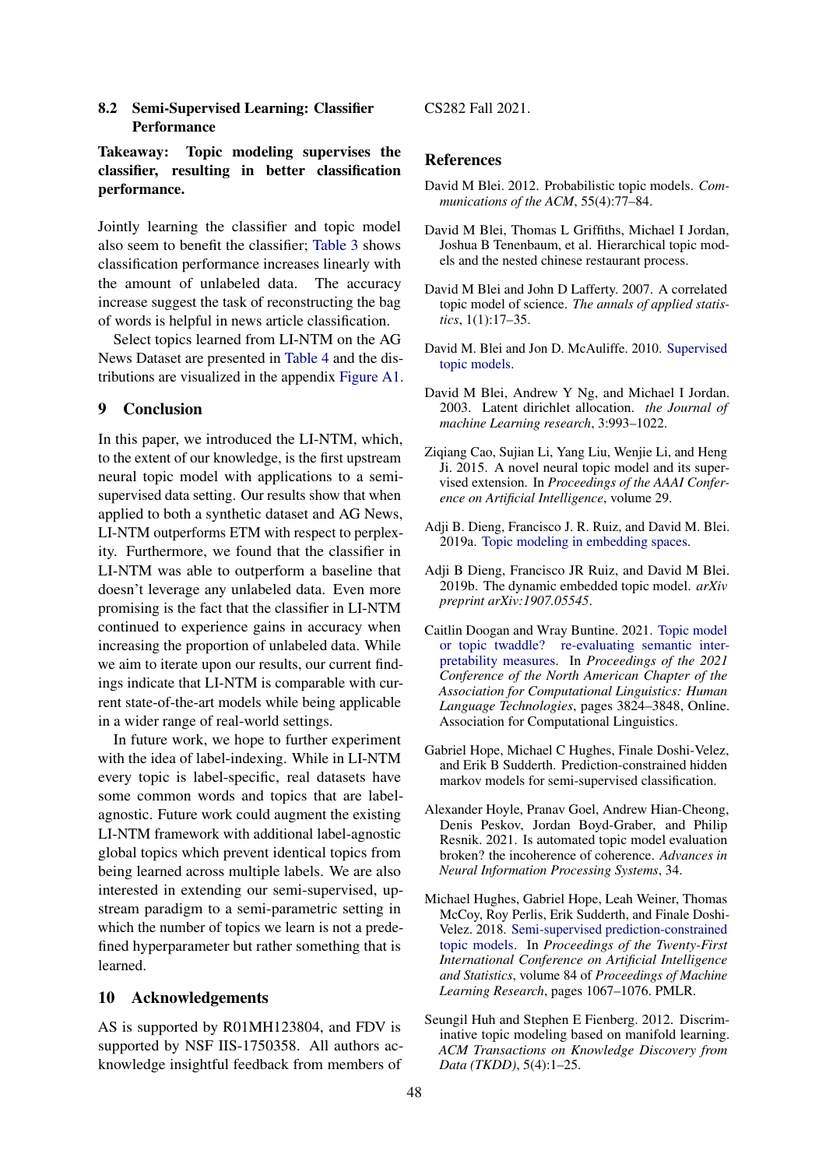## 8.2 Semi-Supervised Learning: Classifier **Performance**

## Takeaway: Topic modeling supervises the classifier, resulting in better classification performance.

Jointly learning the classifier and topic model also seem to benefit the classifier; [Table 3](#page-7-0) shows classification performance increases linearly with the amount of unlabeled data. The accuracy increase suggest the task of reconstructing the bag of words is helpful in news article classification.

Select topics learned from LI-NTM on the AG News Dataset are presented in [Table 4](#page-7-1) and the distributions are visualized in the appendix [Figure A1.](#page-11-0)

## 9 Conclusion

In this paper, we introduced the LI-NTM, which, to the extent of our knowledge, is the first upstream neural topic model with applications to a semisupervised data setting. Our results show that when applied to both a synthetic dataset and AG News, LI-NTM outperforms ETM with respect to perplexity. Furthermore, we found that the classifier in LI-NTM was able to outperform a baseline that doesn't leverage any unlabeled data. Even more promising is the fact that the classifier in LI-NTM continued to experience gains in accuracy when increasing the proportion of unlabeled data. While we aim to iterate upon our results, our current findings indicate that LI-NTM is comparable with current state-of-the-art models while being applicable in a wider range of real-world settings.

In future work, we hope to further experiment with the idea of label-indexing. While in LI-NTM every topic is label-specific, real datasets have some common words and topics that are labelagnostic. Future work could augment the existing LI-NTM framework with additional label-agnostic global topics which prevent identical topics from being learned across multiple labels. We are also interested in extending our semi-supervised, upstream paradigm to a semi-parametric setting in which the number of topics we learn is not a predefined hyperparameter but rather something that is learned.

## 10 Acknowledgements

AS is supported by R01MH123804, and FDV is supported by NSF IIS-1750358. All authors acknowledge insightful feedback from members of

### CS282 Fall 2021.

### References

- <span id="page-8-0"></span>David M Blei. 2012. Probabilistic topic models. *Communications of the ACM*, 55(4):77–84.
- David M Blei, Thomas L Griffiths, Michael I Jordan, Joshua B Tenenbaum, et al. Hierarchical topic models and the nested chinese restaurant process.
- David M Blei and John D Lafferty. 2007. A correlated topic model of science. *The annals of applied statistics*, 1(1):17–35.
- <span id="page-8-1"></span>David M. Blei and Jon D. McAuliffe. 2010. [Supervised](http://arxiv.org/abs/1003.0783) [topic models.](http://arxiv.org/abs/1003.0783)
- <span id="page-8-8"></span>David M Blei, Andrew Y Ng, and Michael I Jordan. 2003. Latent dirichlet allocation. *the Journal of machine Learning research*, 3:993–1022.
- <span id="page-8-3"></span>Ziqiang Cao, Sujian Li, Yang Liu, Wenjie Li, and Heng Ji. 2015. A novel neural topic model and its supervised extension. In *Proceedings of the AAAI Conference on Artificial Intelligence*, volume 29.
- <span id="page-8-4"></span>Adji B. Dieng, Francisco J. R. Ruiz, and David M. Blei. 2019a. [Topic modeling in embedding spaces.](http://arxiv.org/abs/1907.04907)
- <span id="page-8-5"></span>Adji B Dieng, Francisco JR Ruiz, and David M Blei. 2019b. The dynamic embedded topic model. *arXiv preprint arXiv:1907.05545*.
- Caitlin Doogan and Wray Buntine. 2021. [Topic model](https://doi.org/10.18653/v1/2021.naacl-main.300) [or topic twaddle? re-evaluating semantic inter](https://doi.org/10.18653/v1/2021.naacl-main.300)[pretability measures.](https://doi.org/10.18653/v1/2021.naacl-main.300) In *Proceedings of the 2021 Conference of the North American Chapter of the Association for Computational Linguistics: Human Language Technologies*, pages 3824–3848, Online. Association for Computational Linguistics.
- <span id="page-8-7"></span>Gabriel Hope, Michael C Hughes, Finale Doshi-Velez, and Erik B Sudderth. Prediction-constrained hidden markov models for semi-supervised classification.
- Alexander Hoyle, Pranav Goel, Andrew Hian-Cheong, Denis Peskov, Jordan Boyd-Graber, and Philip Resnik. 2021. Is automated topic model evaluation broken? the incoherence of coherence. *Advances in Neural Information Processing Systems*, 34.
- <span id="page-8-6"></span>Michael Hughes, Gabriel Hope, Leah Weiner, Thomas McCoy, Roy Perlis, Erik Sudderth, and Finale Doshi-Velez. 2018. [Semi-supervised prediction-constrained](https://proceedings.mlr.press/v84/hughes18a.html) [topic models.](https://proceedings.mlr.press/v84/hughes18a.html) In *Proceedings of the Twenty-First International Conference on Artificial Intelligence and Statistics*, volume 84 of *Proceedings of Machine Learning Research*, pages 1067–1076. PMLR.
- <span id="page-8-2"></span>Seungil Huh and Stephen E Fienberg. 2012. Discriminative topic modeling based on manifold learning. *ACM Transactions on Knowledge Discovery from Data (TKDD)*, 5(4):1–25.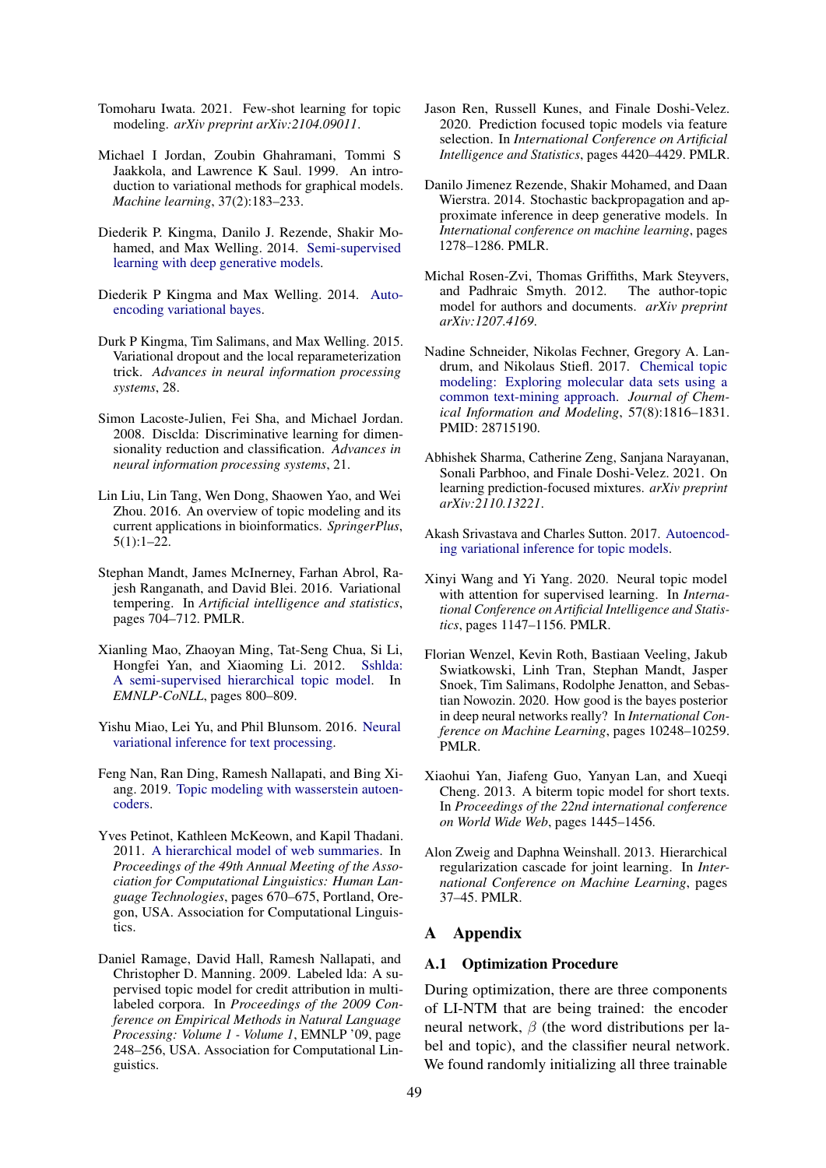- <span id="page-9-7"></span>Tomoharu Iwata. 2021. Few-shot learning for topic modeling. *arXiv preprint arXiv:2104.09011*.
- <span id="page-9-15"></span>Michael I Jordan, Zoubin Ghahramani, Tommi S Jaakkola, and Lawrence K Saul. 1999. An introduction to variational methods for graphical models. *Machine learning*, 37(2):183–233.
- <span id="page-9-14"></span>Diederik P. Kingma, Danilo J. Rezende, Shakir Mohamed, and Max Welling. 2014. [Semi-supervised](http://arxiv.org/abs/1406.5298) [learning with deep generative models.](http://arxiv.org/abs/1406.5298)
- <span id="page-9-5"></span>Diederik P Kingma and Max Welling. 2014. [Auto](http://arxiv.org/abs/1312.6114)[encoding variational bayes.](http://arxiv.org/abs/1312.6114)
- Durk P Kingma, Tim Salimans, and Max Welling. 2015. Variational dropout and the local reparameterization trick. *Advances in neural information processing systems*, 28.
- <span id="page-9-10"></span>Simon Lacoste-Julien, Fei Sha, and Michael Jordan. 2008. Disclda: Discriminative learning for dimensionality reduction and classification. *Advances in neural information processing systems*, 21.
- <span id="page-9-2"></span>Lin Liu, Lin Tang, Wen Dong, Shaowen Yao, and Wei Zhou. 2016. An overview of topic modeling and its current applications in bioinformatics. *SpringerPlus*, 5(1):1–22.
- <span id="page-9-16"></span>Stephan Mandt, James McInerney, Farhan Abrol, Rajesh Ranganath, and David Blei. 2016. Variational tempering. In *Artificial intelligence and statistics*, pages 704–712. PMLR.
- Xianling Mao, Zhaoyan Ming, Tat-Seng Chua, Si Li, Hongfei Yan, and Xiaoming Li. 2012. [Sshlda:](http://www.aclweb.org/anthology/D12-1073) [A semi-supervised hierarchical topic model.](http://www.aclweb.org/anthology/D12-1073) In *EMNLP-CoNLL*, pages 800–809.
- <span id="page-9-11"></span>Yishu Miao, Lei Yu, and Phil Blunsom. 2016. [Neural](http://arxiv.org/abs/1511.06038) [variational inference for text processing.](http://arxiv.org/abs/1511.06038)
- <span id="page-9-12"></span>Feng Nan, Ran Ding, Ramesh Nallapati, and Bing Xiang. 2019. [Topic modeling with wasserstein autoen](http://arxiv.org/abs/1907.12374)[coders.](http://arxiv.org/abs/1907.12374)
- Yves Petinot, Kathleen McKeown, and Kapil Thadani. 2011. [A hierarchical model of web summaries.](https://aclanthology.org/P11-2118) In *Proceedings of the 49th Annual Meeting of the Association for Computational Linguistics: Human Language Technologies*, pages 670–675, Portland, Oregon, USA. Association for Computational Linguistics.
- <span id="page-9-9"></span>Daniel Ramage, David Hall, Ramesh Nallapati, and Christopher D. Manning. 2009. Labeled lda: A supervised topic model for credit attribution in multilabeled corpora. In *Proceedings of the 2009 Conference on Empirical Methods in Natural Language Processing: Volume 1 - Volume 1*, EMNLP '09, page 248–256, USA. Association for Computational Linguistics.
- Jason Ren, Russell Kunes, and Finale Doshi-Velez. 2020. Prediction focused topic models via feature selection. In *International Conference on Artificial Intelligence and Statistics*, pages 4420–4429. PMLR.
- <span id="page-9-4"></span>Danilo Jimenez Rezende, Shakir Mohamed, and Daan Wierstra. 2014. Stochastic backpropagation and approximate inference in deep generative models. In *International conference on machine learning*, pages 1278–1286. PMLR.
- <span id="page-9-0"></span>Michal Rosen-Zvi, Thomas Griffiths, Mark Steyvers, and Padhraic Smyth. 2012. The author-topic model for authors and documents. *arXiv preprint arXiv:1207.4169*.
- <span id="page-9-3"></span>Nadine Schneider, Nikolas Fechner, Gregory A. Landrum, and Nikolaus Stiefl. 2017. [Chemical topic](https://doi.org/10.1021/acs.jcim.7b00249) [modeling: Exploring molecular data sets using a](https://doi.org/10.1021/acs.jcim.7b00249) [common text-mining approach.](https://doi.org/10.1021/acs.jcim.7b00249) *Journal of Chemical Information and Modeling*, 57(8):1816–1831. PMID: 28715190.
- <span id="page-9-13"></span>Abhishek Sharma, Catherine Zeng, Sanjana Narayanan, Sonali Parbhoo, and Finale Doshi-Velez. 2021. On learning prediction-focused mixtures. *arXiv preprint arXiv:2110.13221*.
- <span id="page-9-6"></span>Akash Srivastava and Charles Sutton. 2017. [Autoencod](http://arxiv.org/abs/1703.01488)[ing variational inference for topic models.](http://arxiv.org/abs/1703.01488)
- <span id="page-9-8"></span>Xinyi Wang and Yi Yang. 2020. Neural topic model with attention for supervised learning. In *International Conference on Artificial Intelligence and Statistics*, pages 1147–1156. PMLR.
- <span id="page-9-17"></span>Florian Wenzel, Kevin Roth, Bastiaan Veeling, Jakub Swiatkowski, Linh Tran, Stephan Mandt, Jasper Snoek, Tim Salimans, Rodolphe Jenatton, and Sebastian Nowozin. 2020. How good is the bayes posterior in deep neural networks really? In *International Conference on Machine Learning*, pages 10248–10259. PMLR.
- <span id="page-9-1"></span>Xiaohui Yan, Jiafeng Guo, Yanyan Lan, and Xueqi Cheng. 2013. A biterm topic model for short texts. In *Proceedings of the 22nd international conference on World Wide Web*, pages 1445–1456.
- <span id="page-9-18"></span>Alon Zweig and Daphna Weinshall. 2013. Hierarchical regularization cascade for joint learning. In *International Conference on Machine Learning*, pages 37–45. PMLR.

## A Appendix

#### A.1 Optimization Procedure

During optimization, there are three components of LI-NTM that are being trained: the encoder neural network, β (the word distributions per label and topic), and the classifier neural network. We found randomly initializing all three trainable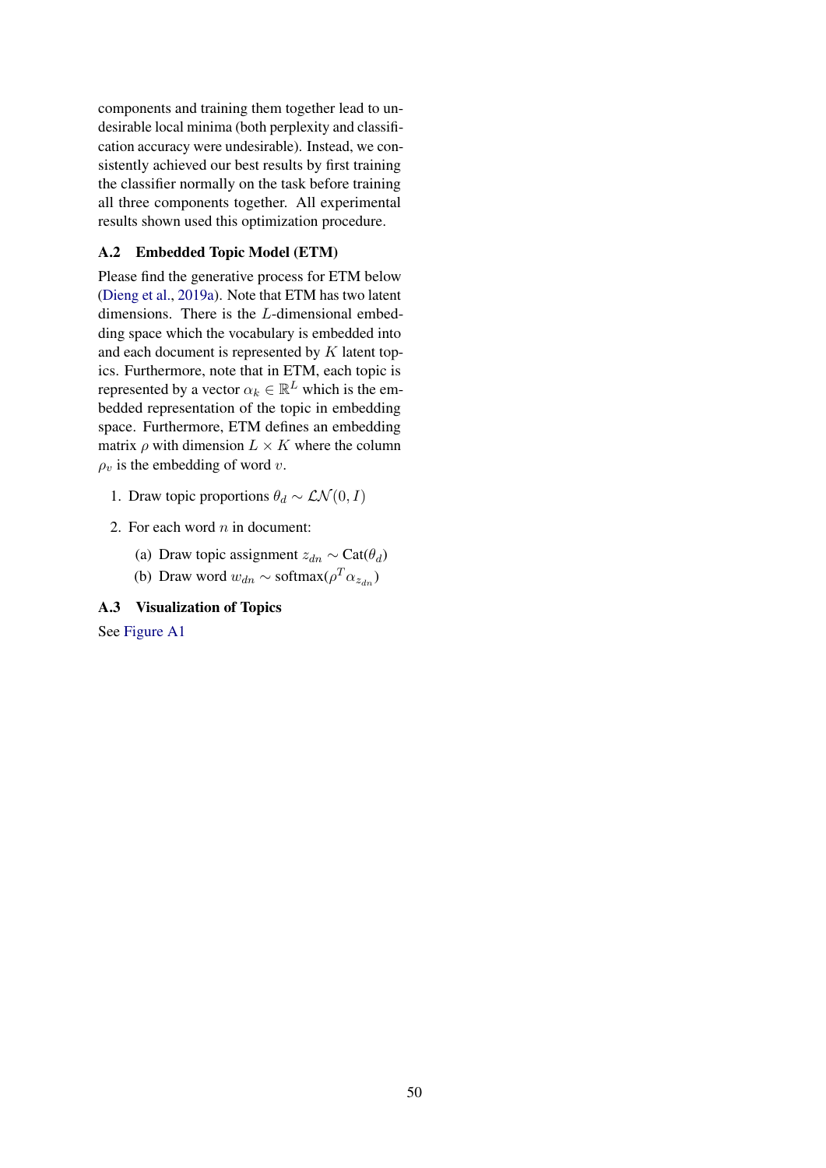components and training them together lead to undesirable local minima (both perplexity and classification accuracy were undesirable). Instead, we consistently achieved our best results by first training the classifier normally on the task before training all three components together. All experimental results shown used this optimization procedure.

## <span id="page-10-0"></span>A.2 Embedded Topic Model (ETM)

Please find the generative process for ETM below [\(Dieng et al.,](#page-8-4) [2019a\)](#page-8-4). Note that ETM has two latent dimensions. There is the L-dimensional embedding space which the vocabulary is embedded into and each document is represented by K latent topics. Furthermore, note that in ETM, each topic is represented by a vector  $\alpha_k \in \mathbb{R}^L$  which is the embedded representation of the topic in embedding space. Furthermore, ETM defines an embedding matrix  $\rho$  with dimension  $L \times K$  where the column  $\rho_v$  is the embedding of word v.

- 1. Draw topic proportions  $\theta_d \sim \mathcal{LN}(0, I)$
- 2. For each word  $n$  in document:
	- (a) Draw topic assignment  $z_{dn} \sim \text{Cat}(\theta_d)$
	- (b) Draw word  $w_{dn} \sim \text{softmax}(\rho^T \alpha_{z_{dn}})$

## A.3 Visualization of Topics

See [Figure A1](#page-11-0)